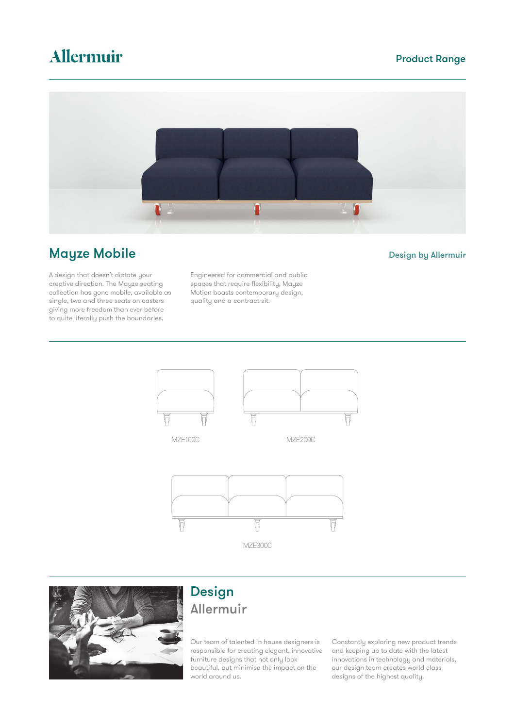# Allermuir

### Product Range



# **Mayze Mobile Community Community Community Community Community Community Community Community Design by Allermuir**

A design that doesn't dictate your creative direction. The Mayze seating collection has gone mobile, available as single, two and three seats on casters giving more freedom than ever before to quite literally push the boundaries.

Engineered for commercial and public spaces that require flexibility, Mayze Motion boasts contemporary design, quality and a contract sit.





# Design Allermuir

Our team of talented in house designers is responsible for creating elegant, innovative furniture designs that not only look beautiful, but minimise the impact on the world around us.

Constantly exploring new product trends and keeping up to date with the latest innovations in technology and materials, our design team creates world class designs of the highest quality.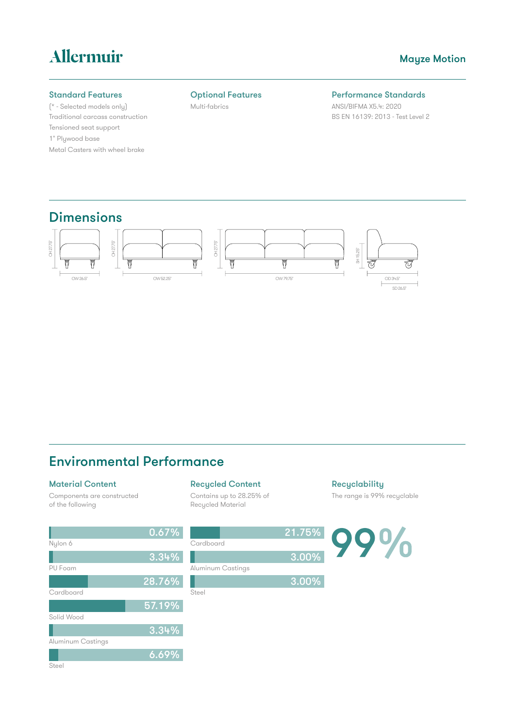# Allermuir

#### Mayze Motion

#### Standard Features

(\* - Selected models only) Traditional carcass construction Tensioned seat support 1" Plywood base Metal Casters with wheel brake

#### Optional Features

Multi-fabrics

#### Performance Standards

ANSI/BIFMA X5.4: 2020 BS EN 16139: 2013 - Test Level 2

### **Dimensions**



## Environmental Performance

 $6.69\%$ 

#### Material Content

Components are constructed of the following

#### Recycled Content

Contains up to 28.25% of Recycled Material

**Recyclability** The range is 99% recyclable

0.67% 21.75%  $9\%$ Nylon 6 **Cardboard** 3.34% 3.00%PU Foam Aluminum Castings 28.76% ۱ 3.00% **Cardboard Steel** 57.19% Solid Wood 3.34% Aluminum Castings

Steel